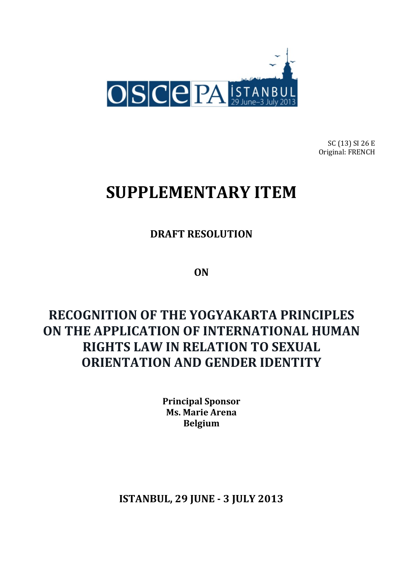

SC (13) SI 26 E Original: FRENCH

# **SUPPLEMENTARY ITEM**

**DRAFT RESOLUTION**

**ON**

# **RECOGNITION OF THE YOGYAKARTA PRINCIPLES ON THE APPLICATION OF INTERNATIONAL HUMAN RIGHTS LAW IN RELATION TO SEXUAL ORIENTATION AND GENDER IDENTITY**

**Principal Sponsor Ms. Marie Arena Belgium**

**ISTANBUL, 29 JUNE - 3 JULY 2013**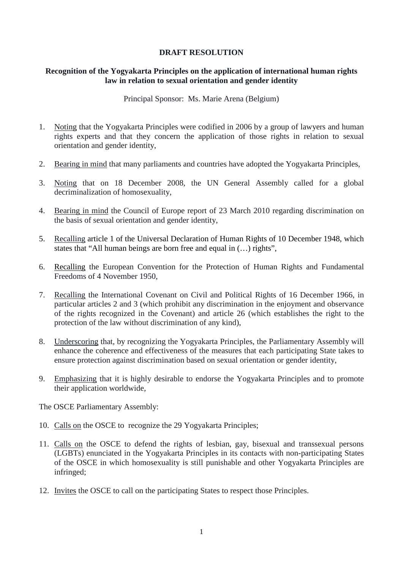#### **DRAFT RESOLUTION**

#### **Recognition of the Yogyakarta Principles on the application of international human rights law in relation to sexual orientation and gender identity**

Principal Sponsor: Ms. Marie Arena (Belgium)

- 1. Noting that the Yogyakarta Principles were codified in 2006 by a group of lawyers and human rights experts and that they concern the application of those rights in relation to sexual orientation and gender identity,
- 2. Bearing in mind that many parliaments and countries have adopted the Yogyakarta Principles,
- 3. Noting that on 18 December 2008, the UN General Assembly called for a global decriminalization of homosexuality,
- 4. Bearing in mind the Council of Europe report of 23 March 2010 regarding discrimination on the basis of sexual orientation and gender identity,
- 5. Recalling article 1 of the Universal Declaration of Human Rights of 10 December 1948, which states that "All human beings are born free and equal in (…) rights",
- 6. Recalling the European Convention for the Protection of Human Rights and Fundamental Freedoms of 4 November 1950,
- 7. Recalling the International Covenant on Civil and Political Rights of 16 December 1966, in particular articles 2 and 3 (which prohibit any discrimination in the enjoyment and observance of the rights recognized in the Covenant) and article 26 (which establishes the right to the protection of the law without discrimination of any kind),
- 8. Underscoring that, by recognizing the Yogyakarta Principles, the Parliamentary Assembly will enhance the coherence and effectiveness of the measures that each participating State takes to ensure protection against discrimination based on sexual orientation or gender identity,
- 9. Emphasizing that it is highly desirable to endorse the Yogyakarta Principles and to promote their application worldwide,

The OSCE Parliamentary Assembly:

- 10. Calls on the OSCE to recognize the 29 Yogyakarta Principles;
- 11. Calls on the OSCE to defend the rights of lesbian, gay, bisexual and transsexual persons (LGBTs) enunciated in the Yogyakarta Principles in its contacts with non-participating States of the OSCE in which homosexuality is still punishable and other Yogyakarta Principles are infringed;
- 12. Invites the OSCE to call on the participating States to respect those Principles.